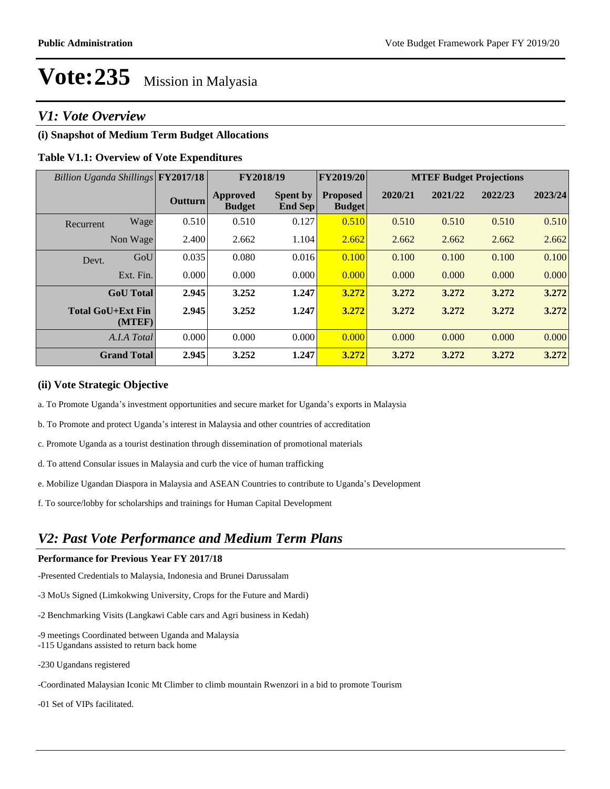## *V1: Vote Overview*

#### **(i) Snapshot of Medium Term Budget Allocations**

#### **Table V1.1: Overview of Vote Expenditures**

| Billion Uganda Shillings FY2017/18 |         |                                  | FY2018/19                  | FY2019/20                        | <b>MTEF Budget Projections</b> |         |         |         |
|------------------------------------|---------|----------------------------------|----------------------------|----------------------------------|--------------------------------|---------|---------|---------|
|                                    | Outturn | <b>Approved</b><br><b>Budget</b> | <b>Spent by</b><br>End Sep | <b>Proposed</b><br><b>Budget</b> | 2020/21                        | 2021/22 | 2022/23 | 2023/24 |
| Wage<br>Recurrent                  | 0.510   | 0.510                            | 0.127                      | 0.510                            | 0.510                          | 0.510   | 0.510   | 0.510   |
| Non Wage                           | 2.400   | 2.662                            | 1.104                      | 2.662                            | 2.662                          | 2.662   | 2.662   | 2.662   |
| GoU<br>Devt.                       | 0.035   | 0.080                            | 0.016                      | 0.100                            | 0.100                          | 0.100   | 0.100   | 0.100   |
| Ext. Fin.                          | 0.000   | 0.000                            | 0.000                      | 0.000                            | 0.000                          | 0.000   | 0.000   | 0.000   |
| <b>GoU</b> Total                   | 2.945   | 3.252                            | 1.247                      | 3.272                            | 3.272                          | 3.272   | 3.272   | 3.272   |
| <b>Total GoU+Ext Fin</b><br>(MTEF) | 2.945   | 3.252                            | 1.247                      | 3.272                            | 3.272                          | 3.272   | 3.272   | 3.272   |
| A.I.A Total                        | 0.000   | 0.000                            | 0.000                      | 0.000                            | 0.000                          | 0.000   | 0.000   | 0.000   |
| <b>Grand Total</b>                 | 2.945   | 3.252                            | 1.247                      | 3.272                            | 3.272                          | 3.272   | 3.272   | 3.272   |

#### **(ii) Vote Strategic Objective**

- a. To Promote Uganda's investment opportunities and secure market for Uganda's exports in Malaysia
- b. To Promote and protect Uganda's interest in Malaysia and other countries of accreditation
- c. Promote Uganda as a tourist destination through dissemination of promotional materials
- d. To attend Consular issues in Malaysia and curb the vice of human trafficking
- e. Mobilize Ugandan Diaspora in Malaysia and ASEAN Countries to contribute to Uganda's Development
- f. To source/lobby for scholarships and trainings for Human Capital Development

## *V2: Past Vote Performance and Medium Term Plans*

#### **Performance for Previous Year FY 2017/18**

-Presented Credentials to Malaysia, Indonesia and Brunei Darussalam

- -3 MoUs Signed (Limkokwing University, Crops for the Future and Mardi)
- -2 Benchmarking Visits (Langkawi Cable cars and Agri business in Kedah)
- -9 meetings Coordinated between Uganda and Malaysia -115 Ugandans assisted to return back home
- -230 Ugandans registered
- -Coordinated Malaysian Iconic Mt Climber to climb mountain Rwenzori in a bid to promote Tourism
- -01 Set of VIPs facilitated.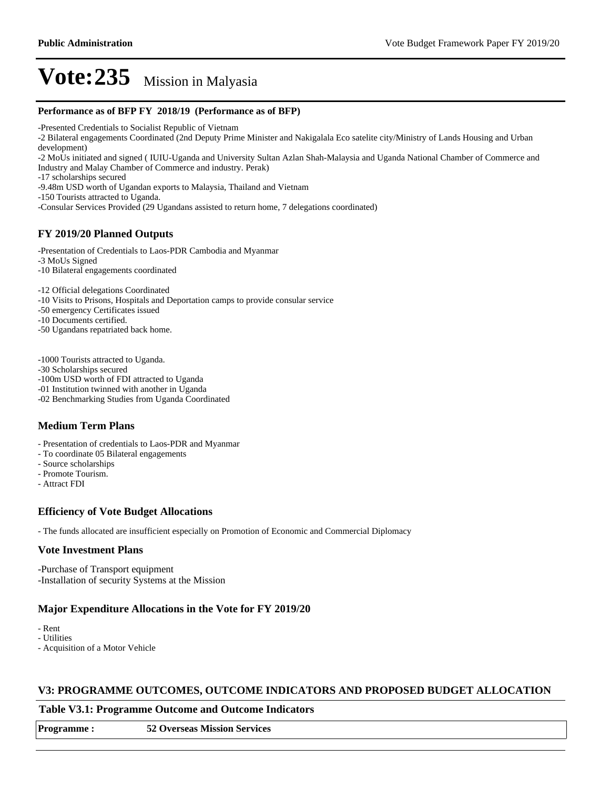#### **Performance as of BFP FY 2018/19 (Performance as of BFP)**

-Presented Credentials to Socialist Republic of Vietnam

-2 Bilateral engagements Coordinated (2nd Deputy Prime Minister and Nakigalala Eco satelite city/Ministry of Lands Housing and Urban development)

-2 MoUs initiated and signed ( IUIU-Uganda and University Sultan Azlan Shah-Malaysia and Uganda National Chamber of Commerce and Industry and Malay Chamber of Commerce and industry. Perak)

-17 scholarships secured

-9.48m USD worth of Ugandan exports to Malaysia, Thailand and Vietnam

-150 Tourists attracted to Uganda.

-Consular Services Provided (29 Ugandans assisted to return home, 7 delegations coordinated)

#### **FY 2019/20 Planned Outputs**

-Presentation of Credentials to Laos-PDR Cambodia and Myanmar

-3 MoUs Signed

-10 Bilateral engagements coordinated

-12 Official delegations Coordinated

-10 Visits to Prisons, Hospitals and Deportation camps to provide consular service

-50 emergency Certificates issued

-10 Documents certified.

-50 Ugandans repatriated back home.

-1000 Tourists attracted to Uganda.

-30 Scholarships secured

-100m USD worth of FDI attracted to Uganda

-01 Institution twinned with another in Uganda

-02 Benchmarking Studies from Uganda Coordinated

#### **Medium Term Plans**

- Presentation of credentials to Laos-PDR and Myanmar

- To coordinate 05 Bilateral engagements
- Source scholarships
- Promote Tourism.

- Attract FDI

#### **Efficiency of Vote Budget Allocations**

- The funds allocated are insufficient especially on Promotion of Economic and Commercial Diplomacy

#### **Vote Investment Plans**

-Purchase of Transport equipment -Installation of security Systems at the Mission

#### **Major Expenditure Allocations in the Vote for FY 2019/20**

- Rent

- Utilities

- Acquisition of a Motor Vehicle

#### **V3: PROGRAMME OUTCOMES, OUTCOME INDICATORS AND PROPOSED BUDGET ALLOCATION**

#### **Table V3.1: Programme Outcome and Outcome Indicators**

**Programme : 52 Overseas Mission Services**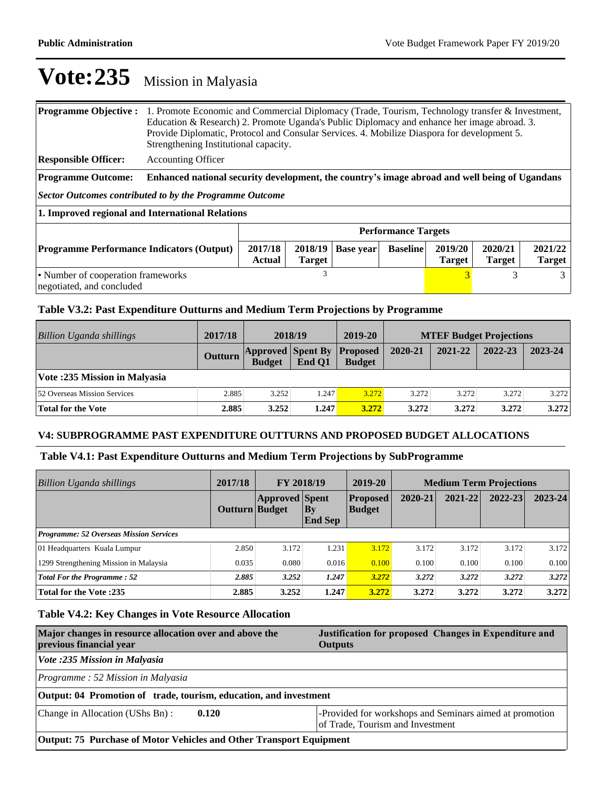| <b>Programme Objective:</b>                                                                                                                                                                             | 1. Promote Economic and Commercial Diplomacy (Trade, Tourism, Technology transfer & Investment,<br>Education & Research) 2. Promote Uganda's Public Diplomacy and enhance her image abroad. 3.<br>Provide Diplomatic, Protocol and Consular Services. 4. Mobilize Diaspora for development 5.<br>Strengthening Institutional capacity. |  |   |  |  |                          |   |   |
|---------------------------------------------------------------------------------------------------------------------------------------------------------------------------------------------------------|----------------------------------------------------------------------------------------------------------------------------------------------------------------------------------------------------------------------------------------------------------------------------------------------------------------------------------------|--|---|--|--|--------------------------|---|---|
| <b>Responsible Officer:</b>                                                                                                                                                                             | <b>Accounting Officer</b>                                                                                                                                                                                                                                                                                                              |  |   |  |  |                          |   |   |
| <b>Programme Outcome:</b>                                                                                                                                                                               | Enhanced national security development, the country's image abroad and well being of Ugandans                                                                                                                                                                                                                                          |  |   |  |  |                          |   |   |
| Sector Outcomes contributed to by the Programme Outcome                                                                                                                                                 |                                                                                                                                                                                                                                                                                                                                        |  |   |  |  |                          |   |   |
|                                                                                                                                                                                                         | 1. Improved regional and International Relations                                                                                                                                                                                                                                                                                       |  |   |  |  |                          |   |   |
|                                                                                                                                                                                                         | <b>Performance Targets</b>                                                                                                                                                                                                                                                                                                             |  |   |  |  |                          |   |   |
| 2017/18<br>2019/20<br>2020/21<br>2018/19<br><b>Baseline</b><br><b>Programme Performance Indicators (Output)</b><br><b>Base year</b><br><b>Actual</b><br><b>Target</b><br><b>Target</b><br><b>Target</b> |                                                                                                                                                                                                                                                                                                                                        |  |   |  |  | 2021/22<br><b>Target</b> |   |   |
| • Number of cooperation frameworks<br>negotiated, and concluded                                                                                                                                         |                                                                                                                                                                                                                                                                                                                                        |  | 3 |  |  | 3                        | 3 | 3 |

## **Table V3.2: Past Expenditure Outturns and Medium Term Projections by Programme**

| Billion Uganda shillings            | 2017/18        | 2018/19                                   |        | 2019-20                          | <b>MTEF Budget Projections</b> |         |         |         |
|-------------------------------------|----------------|-------------------------------------------|--------|----------------------------------|--------------------------------|---------|---------|---------|
|                                     | <b>Outturn</b> | <b>Approved Spent By</b><br><b>Budget</b> | End O1 | <b>Proposed</b><br><b>Budget</b> | 2020-21                        | 2021-22 | 2022-23 | 2023-24 |
| Vote: 235 Mission in Malyasia       |                |                                           |        |                                  |                                |         |         |         |
| <b>52 Overseas Mission Services</b> | 2.885          | 3.252                                     | 1.247  | 3.272                            | 3.272                          | 3.272   | 3.272   | 3.272   |
| <b>Total for the Vote</b>           | 2.885          | 3.252                                     | 1.247  | 3.272                            | 3.272                          | 3.272   | 3.272   | 3.272   |

#### **V4: SUBPROGRAMME PAST EXPENDITURE OUTTURNS AND PROPOSED BUDGET ALLOCATIONS**

## **Table V4.1: Past Expenditure Outturns and Medium Term Projections by SubProgramme**

| <b>Billion Uganda shillings</b>                | 2017/18        | <b>FY 2018/19</b>     |                      | 2019-20                          | <b>Medium Term Projections</b> |         |             |         |
|------------------------------------------------|----------------|-----------------------|----------------------|----------------------------------|--------------------------------|---------|-------------|---------|
|                                                | Outturn Budget | <b>Approved Spent</b> | Bv<br><b>End Sep</b> | <b>Proposed</b><br><b>Budget</b> | 2020-21                        | 2021-22 | $2022 - 23$ | 2023-24 |
| <b>Programme: 52 Overseas Mission Services</b> |                |                       |                      |                                  |                                |         |             |         |
| 01 Headquarters Kuala Lumpur                   | 2.850          | 3.172                 | 1.231                | 3.172                            | 3.172                          | 3.172   | 3.172       | 3.172   |
| 1299 Strengthening Mission in Malaysia         | 0.035          | 0.080                 | 0.016                | 0.100                            | 0.100                          | 0.100   | 0.100       | 0.100   |
| <b>Total For the Programme: 52</b>             | 2.885          | 3.252                 | 1.247                | 3.272                            | 3.272                          | 3.272   | 3.272       | 3.272   |
| <b>Total for the Vote:235</b>                  | 2.885          | 3.252                 | 1.247                | 3.272                            | 3.272                          | 3.272   | 3.272       | 3.272   |

## **Table V4.2: Key Changes in Vote Resource Allocation**

| Major changes in resource allocation over and above the<br>previous financial year | Justification for proposed Changes in Expenditure and<br><b>Outputs</b>                     |  |  |  |
|------------------------------------------------------------------------------------|---------------------------------------------------------------------------------------------|--|--|--|
| Vote :235 Mission in Malyasia                                                      |                                                                                             |  |  |  |
| Programme: 52 Mission in Malyasia                                                  |                                                                                             |  |  |  |
| Output: 04 Promotion of trade, tourism, education, and investment                  |                                                                                             |  |  |  |
| Change in Allocation (UShs Bn):<br>0.120                                           | -Provided for workshops and Seminars aimed at promotion<br>of Trade, Tourism and Investment |  |  |  |
| Output: 75 Purchase of Motor Vehicles and Other Transport Equipment                |                                                                                             |  |  |  |